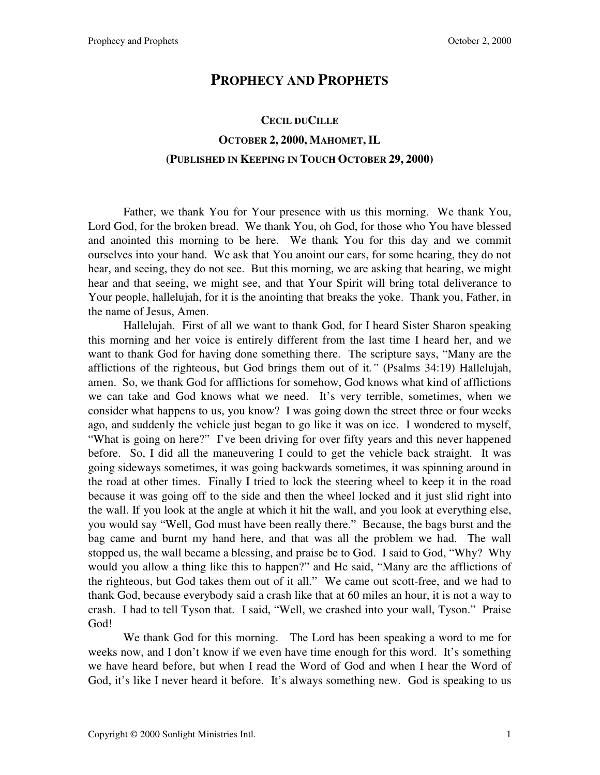## **PROPHECY AND PROPHETS**

## **CECIL DUCILLE OCTOBER 2, 2000, MAHOMET, IL (PUBLISHED IN KEEPING IN TOUCH OCTOBER 29, 2000)**

 Father, we thank You for Your presence with us this morning. We thank You, Lord God, for the broken bread. We thank You, oh God, for those who You have blessed and anointed this morning to be here. We thank You for this day and we commit ourselves into your hand. We ask that You anoint our ears, for some hearing, they do not hear, and seeing, they do not see. But this morning, we are asking that hearing, we might hear and that seeing, we might see, and that Your Spirit will bring total deliverance to Your people, hallelujah, for it is the anointing that breaks the yoke. Thank you, Father, in the name of Jesus, Amen.

Hallelujah. First of all we want to thank God, for I heard Sister Sharon speaking this morning and her voice is entirely different from the last time I heard her, and we want to thank God for having done something there. The scripture says, "Many are the afflictions of the righteous, but God brings them out of it*."* (Psalms 34:19) Hallelujah, amen. So, we thank God for afflictions for somehow, God knows what kind of afflictions we can take and God knows what we need. It's very terrible, sometimes, when we consider what happens to us, you know? I was going down the street three or four weeks ago, and suddenly the vehicle just began to go like it was on ice. I wondered to myself, "What is going on here?" I've been driving for over fifty years and this never happened before. So, I did all the maneuvering I could to get the vehicle back straight. It was going sideways sometimes, it was going backwards sometimes, it was spinning around in the road at other times. Finally I tried to lock the steering wheel to keep it in the road because it was going off to the side and then the wheel locked and it just slid right into the wall. If you look at the angle at which it hit the wall, and you look at everything else, you would say "Well, God must have been really there." Because, the bags burst and the bag came and burnt my hand here, and that was all the problem we had. The wall stopped us, the wall became a blessing, and praise be to God. I said to God, "Why? Why would you allow a thing like this to happen?" and He said, "Many are the afflictions of the righteous, but God takes them out of it all." We came out scott-free, and we had to thank God, because everybody said a crash like that at 60 miles an hour, it is not a way to crash. I had to tell Tyson that. I said, "Well, we crashed into your wall, Tyson." Praise God!

We thank God for this morning. The Lord has been speaking a word to me for weeks now, and I don't know if we even have time enough for this word. It's something we have heard before, but when I read the Word of God and when I hear the Word of God, it's like I never heard it before. It's always something new. God is speaking to us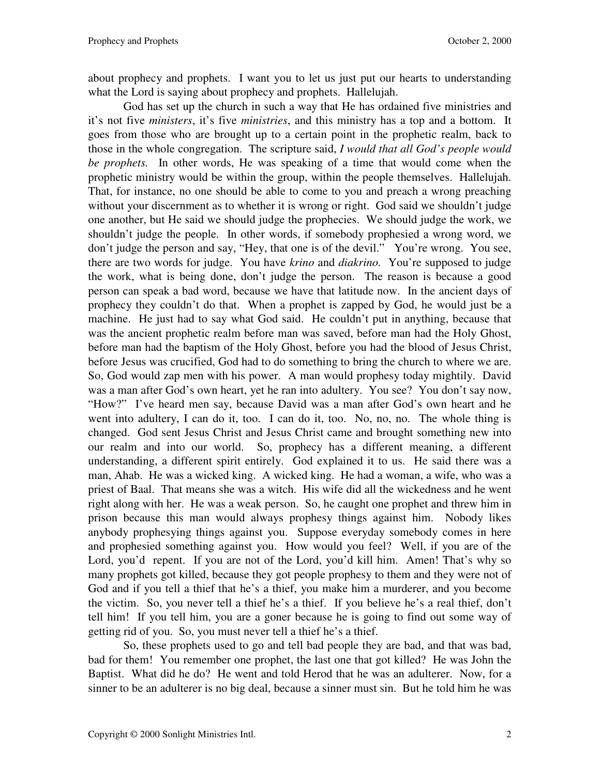about prophecy and prophets. I want you to let us just put our hearts to understanding what the Lord is saying about prophecy and prophets. Hallelujah.

God has set up the church in such a way that He has ordained five ministries and it's not five *ministers*, it's five *ministries*, and this ministry has a top and a bottom. It goes from those who are brought up to a certain point in the prophetic realm, back to those in the whole congregation. The scripture said, *I would that all God's people would be prophets.* In other words, He was speaking of a time that would come when the prophetic ministry would be within the group, within the people themselves. Hallelujah. That, for instance, no one should be able to come to you and preach a wrong preaching without your discernment as to whether it is wrong or right. God said we shouldn't judge one another, but He said we should judge the prophecies. We should judge the work, we shouldn't judge the people. In other words, if somebody prophesied a wrong word, we don't judge the person and say, "Hey, that one is of the devil." You're wrong. You see, there are two words for judge. You have *krino* and *diakrino.* You're supposed to judge the work, what is being done, don't judge the person. The reason is because a good person can speak a bad word, because we have that latitude now. In the ancient days of prophecy they couldn't do that. When a prophet is zapped by God, he would just be a machine. He just had to say what God said. He couldn't put in anything, because that was the ancient prophetic realm before man was saved, before man had the Holy Ghost, before man had the baptism of the Holy Ghost, before you had the blood of Jesus Christ, before Jesus was crucified, God had to do something to bring the church to where we are. So, God would zap men with his power. A man would prophesy today mightily. David was a man after God's own heart, yet he ran into adultery. You see? You don't say now, "How?" I've heard men say, because David was a man after God's own heart and he went into adultery, I can do it, too. I can do it, too. No, no, no. The whole thing is changed. God sent Jesus Christ and Jesus Christ came and brought something new into our realm and into our world. So, prophecy has a different meaning, a different understanding, a different spirit entirely. God explained it to us. He said there was a man, Ahab. He was a wicked king. A wicked king. He had a woman, a wife, who was a priest of Baal. That means she was a witch. His wife did all the wickedness and he went right along with her. He was a weak person. So, he caught one prophet and threw him in prison because this man would always prophesy things against him. Nobody likes anybody prophesying things against you. Suppose everyday somebody comes in here and prophesied something against you. How would you feel? Well, if you are of the Lord, you'd repent. If you are not of the Lord, you'd kill him. Amen! That's why so many prophets got killed, because they got people prophesy to them and they were not of God and if you tell a thief that he's a thief, you make him a murderer, and you become the victim. So, you never tell a thief he's a thief. If you believe he's a real thief, don't tell him! If you tell him, you are a goner because he is going to find out some way of getting rid of you. So, you must never tell a thief he's a thief.

So, these prophets used to go and tell bad people they are bad, and that was bad, bad for them! You remember one prophet, the last one that got killed? He was John the Baptist. What did he do? He went and told Herod that he was an adulterer. Now, for a sinner to be an adulterer is no big deal, because a sinner must sin. But he told him he was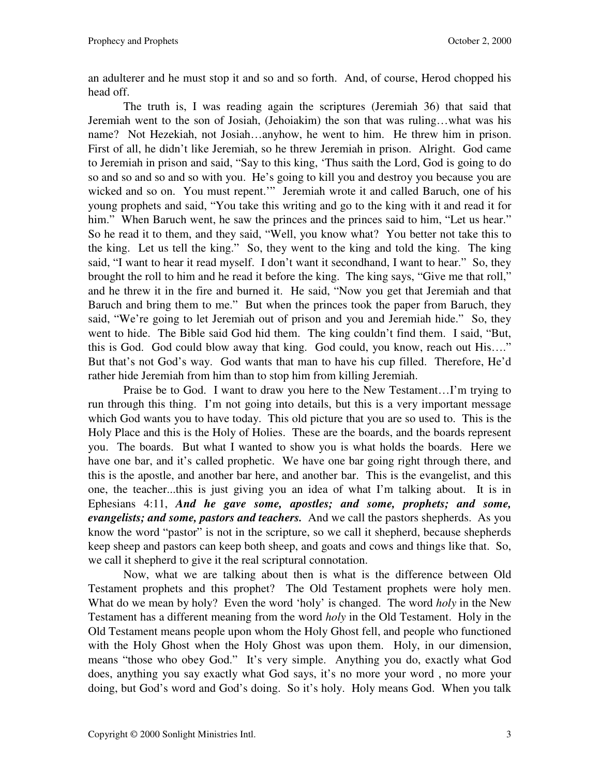an adulterer and he must stop it and so and so forth. And, of course, Herod chopped his head off.

The truth is, I was reading again the scriptures (Jeremiah 36) that said that Jeremiah went to the son of Josiah, (Jehoiakim) the son that was ruling…what was his name? Not Hezekiah, not Josiah…anyhow, he went to him. He threw him in prison. First of all, he didn't like Jeremiah, so he threw Jeremiah in prison. Alright. God came to Jeremiah in prison and said, "Say to this king, 'Thus saith the Lord, God is going to do so and so and so and so with you. He's going to kill you and destroy you because you are wicked and so on. You must repent.'" Jeremiah wrote it and called Baruch, one of his young prophets and said, "You take this writing and go to the king with it and read it for him." When Baruch went, he saw the princes and the princes said to him, "Let us hear." So he read it to them, and they said, "Well, you know what? You better not take this to the king. Let us tell the king." So, they went to the king and told the king. The king said, "I want to hear it read myself. I don't want it secondhand, I want to hear." So, they brought the roll to him and he read it before the king. The king says, "Give me that roll," and he threw it in the fire and burned it. He said, "Now you get that Jeremiah and that Baruch and bring them to me." But when the princes took the paper from Baruch, they said, "We're going to let Jeremiah out of prison and you and Jeremiah hide." So, they went to hide. The Bible said God hid them. The king couldn't find them. I said, "But, this is God. God could blow away that king. God could, you know, reach out His…." But that's not God's way. God wants that man to have his cup filled. Therefore, He'd rather hide Jeremiah from him than to stop him from killing Jeremiah.

Praise be to God. I want to draw you here to the New Testament…I'm trying to run through this thing. I'm not going into details, but this is a very important message which God wants you to have today. This old picture that you are so used to. This is the Holy Place and this is the Holy of Holies. These are the boards, and the boards represent you. The boards. But what I wanted to show you is what holds the boards. Here we have one bar, and it's called prophetic. We have one bar going right through there, and this is the apostle, and another bar here, and another bar. This is the evangelist, and this one, the teacher...this is just giving you an idea of what I'm talking about. It is in Ephesians 4:11, *And he gave some, apostles; and some, prophets; and some, evangelists; and some, pastors and teachers.* And we call the pastors shepherds. As you know the word "pastor" is not in the scripture, so we call it shepherd, because shepherds keep sheep and pastors can keep both sheep, and goats and cows and things like that. So, we call it shepherd to give it the real scriptural connotation.

 Now, what we are talking about then is what is the difference between Old Testament prophets and this prophet? The Old Testament prophets were holy men. What do we mean by holy? Even the word 'holy' is changed. The word *holy* in the New Testament has a different meaning from the word *holy* in the Old Testament. Holy in the Old Testament means people upon whom the Holy Ghost fell, and people who functioned with the Holy Ghost when the Holy Ghost was upon them. Holy, in our dimension, means "those who obey God." It's very simple. Anything you do, exactly what God does, anything you say exactly what God says, it's no more your word , no more your doing, but God's word and God's doing. So it's holy. Holy means God. When you talk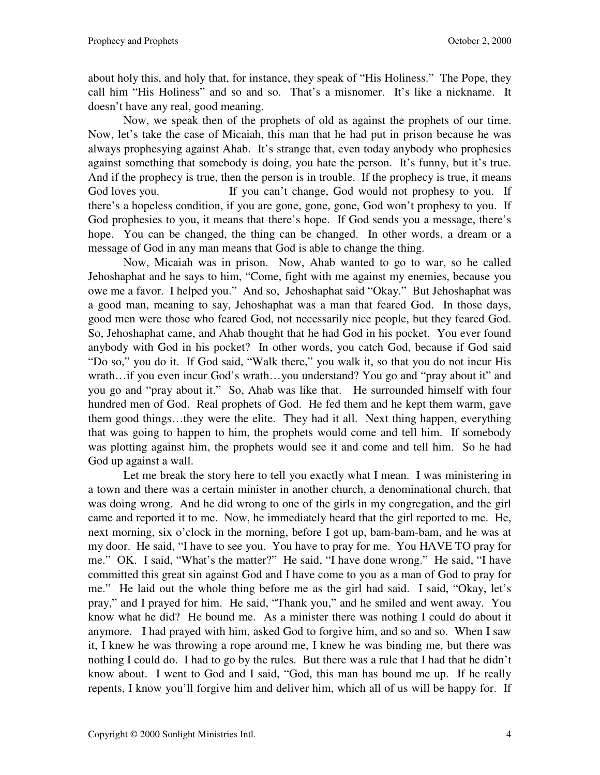about holy this, and holy that, for instance, they speak of "His Holiness." The Pope, they call him "His Holiness" and so and so. That's a misnomer. It's like a nickname. It doesn't have any real, good meaning.

 Now, we speak then of the prophets of old as against the prophets of our time. Now, let's take the case of Micaiah, this man that he had put in prison because he was always prophesying against Ahab. It's strange that, even today anybody who prophesies against something that somebody is doing, you hate the person. It's funny, but it's true. And if the prophecy is true, then the person is in trouble. If the prophecy is true, it means God loves you. If you can't change, God would not prophesy to you. If there's a hopeless condition, if you are gone, gone, gone, God won't prophesy to you. If God prophesies to you, it means that there's hope. If God sends you a message, there's hope. You can be changed, the thing can be changed. In other words, a dream or a message of God in any man means that God is able to change the thing.

 Now, Micaiah was in prison. Now, Ahab wanted to go to war, so he called Jehoshaphat and he says to him, "Come, fight with me against my enemies, because you owe me a favor. I helped you." And so, Jehoshaphat said "Okay." But Jehoshaphat was a good man, meaning to say, Jehoshaphat was a man that feared God. In those days, good men were those who feared God, not necessarily nice people, but they feared God. So, Jehoshaphat came, and Ahab thought that he had God in his pocket. You ever found anybody with God in his pocket? In other words, you catch God, because if God said "Do so," you do it. If God said, "Walk there," you walk it, so that you do not incur His wrath…if you even incur God's wrath…you understand? You go and "pray about it" and you go and "pray about it." So, Ahab was like that. He surrounded himself with four hundred men of God. Real prophets of God. He fed them and he kept them warm, gave them good things…they were the elite. They had it all. Next thing happen, everything that was going to happen to him, the prophets would come and tell him. If somebody was plotting against him, the prophets would see it and come and tell him. So he had God up against a wall.

Let me break the story here to tell you exactly what I mean. I was ministering in a town and there was a certain minister in another church, a denominational church, that was doing wrong. And he did wrong to one of the girls in my congregation, and the girl came and reported it to me. Now, he immediately heard that the girl reported to me. He, next morning, six o'clock in the morning, before I got up, bam-bam-bam, and he was at my door. He said, "I have to see you. You have to pray for me. You HAVE TO pray for me." OK. I said, "What's the matter?" He said, "I have done wrong." He said, "I have committed this great sin against God and I have come to you as a man of God to pray for me." He laid out the whole thing before me as the girl had said. I said, "Okay, let's pray," and I prayed for him. He said, "Thank you," and he smiled and went away. You know what he did? He bound me. As a minister there was nothing I could do about it anymore. I had prayed with him, asked God to forgive him, and so and so. When I saw it, I knew he was throwing a rope around me, I knew he was binding me, but there was nothing I could do. I had to go by the rules. But there was a rule that I had that he didn't know about. I went to God and I said, "God, this man has bound me up. If he really repents, I know you'll forgive him and deliver him, which all of us will be happy for. If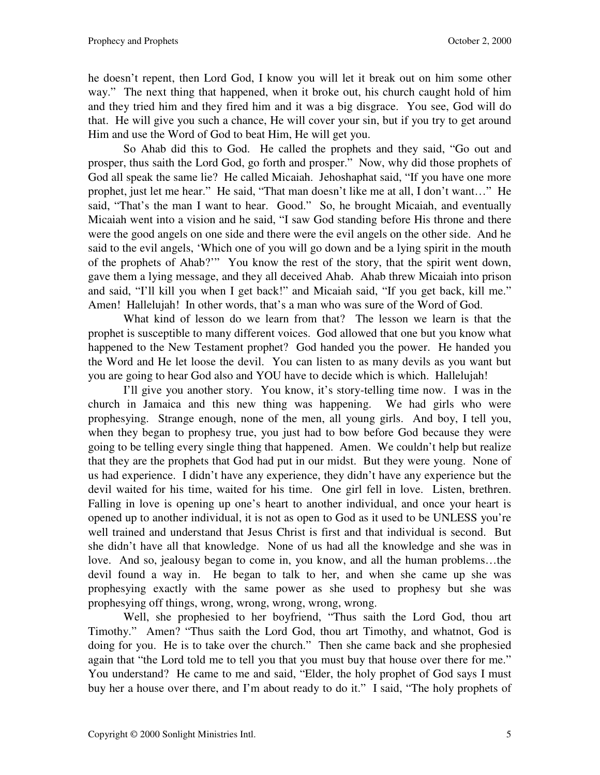he doesn't repent, then Lord God, I know you will let it break out on him some other way." The next thing that happened, when it broke out, his church caught hold of him and they tried him and they fired him and it was a big disgrace. You see, God will do that. He will give you such a chance, He will cover your sin, but if you try to get around Him and use the Word of God to beat Him, He will get you.

 So Ahab did this to God. He called the prophets and they said, "Go out and prosper, thus saith the Lord God, go forth and prosper." Now, why did those prophets of God all speak the same lie? He called Micaiah. Jehoshaphat said, "If you have one more prophet, just let me hear." He said, "That man doesn't like me at all, I don't want…" He said, "That's the man I want to hear. Good." So, he brought Micaiah, and eventually Micaiah went into a vision and he said, "I saw God standing before His throne and there were the good angels on one side and there were the evil angels on the other side. And he said to the evil angels, 'Which one of you will go down and be a lying spirit in the mouth of the prophets of Ahab?'" You know the rest of the story, that the spirit went down, gave them a lying message, and they all deceived Ahab. Ahab threw Micaiah into prison and said, "I'll kill you when I get back!" and Micaiah said, "If you get back, kill me." Amen! Hallelujah! In other words, that's a man who was sure of the Word of God.

 What kind of lesson do we learn from that? The lesson we learn is that the prophet is susceptible to many different voices. God allowed that one but you know what happened to the New Testament prophet? God handed you the power. He handed you the Word and He let loose the devil. You can listen to as many devils as you want but you are going to hear God also and YOU have to decide which is which. Hallelujah!

 I'll give you another story. You know, it's story-telling time now. I was in the church in Jamaica and this new thing was happening. We had girls who were prophesying. Strange enough, none of the men, all young girls. And boy, I tell you, when they began to prophesy true, you just had to bow before God because they were going to be telling every single thing that happened. Amen. We couldn't help but realize that they are the prophets that God had put in our midst. But they were young. None of us had experience. I didn't have any experience, they didn't have any experience but the devil waited for his time, waited for his time. One girl fell in love. Listen, brethren. Falling in love is opening up one's heart to another individual, and once your heart is opened up to another individual, it is not as open to God as it used to be UNLESS you're well trained and understand that Jesus Christ is first and that individual is second. But she didn't have all that knowledge. None of us had all the knowledge and she was in love. And so, jealousy began to come in, you know, and all the human problems…the devil found a way in. He began to talk to her, and when she came up she was prophesying exactly with the same power as she used to prophesy but she was prophesying off things, wrong, wrong, wrong, wrong, wrong.

 Well, she prophesied to her boyfriend, "Thus saith the Lord God, thou art Timothy." Amen? "Thus saith the Lord God, thou art Timothy, and whatnot, God is doing for you. He is to take over the church." Then she came back and she prophesied again that "the Lord told me to tell you that you must buy that house over there for me." You understand? He came to me and said, "Elder, the holy prophet of God says I must buy her a house over there, and I'm about ready to do it." I said, "The holy prophets of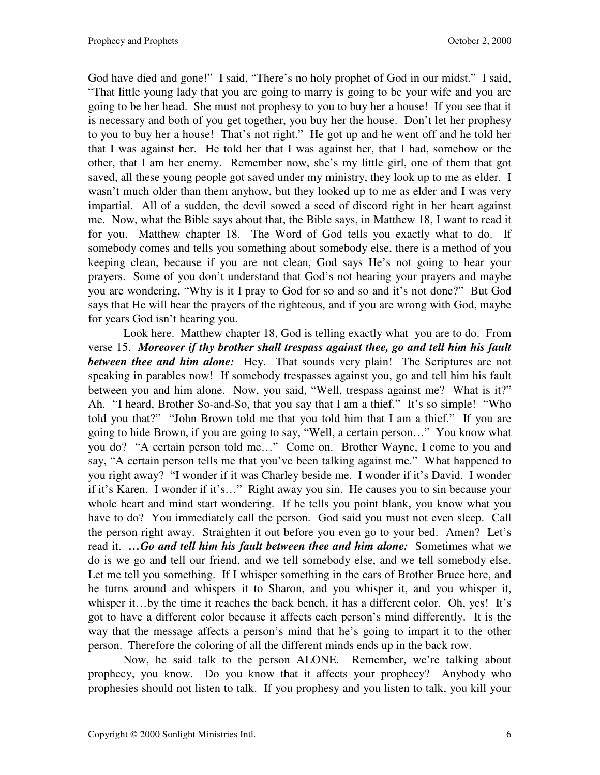God have died and gone!" I said, "There's no holy prophet of God in our midst." I said, "That little young lady that you are going to marry is going to be your wife and you are going to be her head. She must not prophesy to you to buy her a house! If you see that it is necessary and both of you get together, you buy her the house. Don't let her prophesy to you to buy her a house! That's not right." He got up and he went off and he told her that I was against her. He told her that I was against her, that I had, somehow or the other, that I am her enemy. Remember now, she's my little girl, one of them that got saved, all these young people got saved under my ministry, they look up to me as elder. I wasn't much older than them anyhow, but they looked up to me as elder and I was very impartial. All of a sudden, the devil sowed a seed of discord right in her heart against me. Now, what the Bible says about that, the Bible says, in Matthew 18, I want to read it for you. Matthew chapter 18. The Word of God tells you exactly what to do. If somebody comes and tells you something about somebody else, there is a method of you keeping clean, because if you are not clean, God says He's not going to hear your prayers. Some of you don't understand that God's not hearing your prayers and maybe you are wondering, "Why is it I pray to God for so and so and it's not done?" But God says that He will hear the prayers of the righteous, and if you are wrong with God, maybe for years God isn't hearing you.

 Look here. Matthew chapter 18, God is telling exactly what you are to do. From verse 15. *Moreover if thy brother shall trespass against thee, go and tell him his fault between thee and him alone:* Hey. That sounds very plain! The Scriptures are not speaking in parables now! If somebody trespasses against you, go and tell him his fault between you and him alone. Now, you said, "Well, trespass against me? What is it?" Ah. "I heard, Brother So-and-So, that you say that I am a thief." It's so simple! "Who told you that?" "John Brown told me that you told him that I am a thief." If you are going to hide Brown, if you are going to say, "Well, a certain person…" You know what you do? "A certain person told me…" Come on. Brother Wayne, I come to you and say, "A certain person tells me that you've been talking against me." What happened to you right away? "I wonder if it was Charley beside me. I wonder if it's David. I wonder if it's Karen. I wonder if it's…" Right away you sin. He causes you to sin because your whole heart and mind start wondering. If he tells you point blank, you know what you have to do? You immediately call the person. God said you must not even sleep. Call the person right away. Straighten it out before you even go to your bed. Amen? Let's read it. *…Go and tell him his fault between thee and him alone:* Sometimes what we do is we go and tell our friend, and we tell somebody else, and we tell somebody else. Let me tell you something. If I whisper something in the ears of Brother Bruce here, and he turns around and whispers it to Sharon, and you whisper it, and you whisper it, whisper it...by the time it reaches the back bench, it has a different color. Oh, yes! It's got to have a different color because it affects each person's mind differently. It is the way that the message affects a person's mind that he's going to impart it to the other person. Therefore the coloring of all the different minds ends up in the back row.

 Now, he said talk to the person ALONE. Remember, we're talking about prophecy, you know. Do you know that it affects your prophecy? Anybody who prophesies should not listen to talk. If you prophesy and you listen to talk, you kill your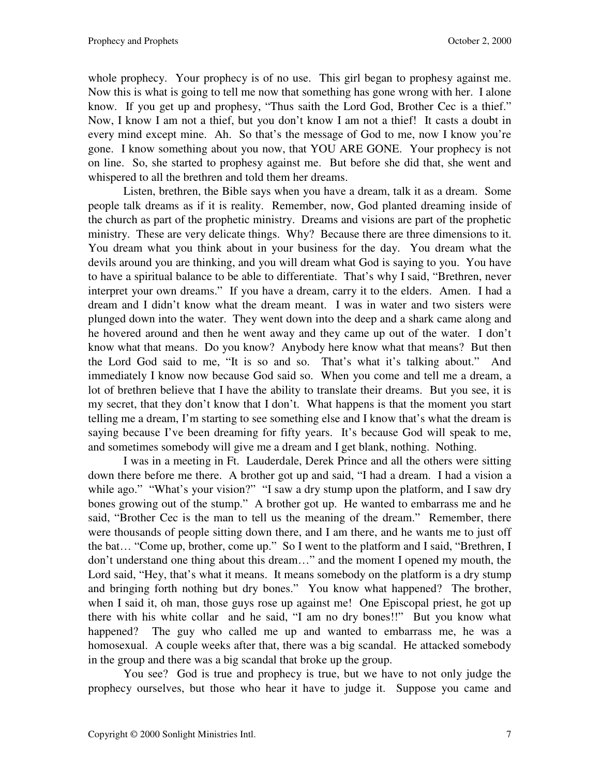whole prophecy. Your prophecy is of no use. This girl began to prophesy against me. Now this is what is going to tell me now that something has gone wrong with her. I alone know. If you get up and prophesy, "Thus saith the Lord God, Brother Cec is a thief." Now, I know I am not a thief, but you don't know I am not a thief! It casts a doubt in every mind except mine. Ah. So that's the message of God to me, now I know you're gone. I know something about you now, that YOU ARE GONE. Your prophecy is not on line. So, she started to prophesy against me. But before she did that, she went and whispered to all the brethren and told them her dreams.

 Listen, brethren, the Bible says when you have a dream, talk it as a dream. Some people talk dreams as if it is reality. Remember, now, God planted dreaming inside of the church as part of the prophetic ministry. Dreams and visions are part of the prophetic ministry. These are very delicate things. Why? Because there are three dimensions to it. You dream what you think about in your business for the day. You dream what the devils around you are thinking, and you will dream what God is saying to you. You have to have a spiritual balance to be able to differentiate. That's why I said, "Brethren, never interpret your own dreams." If you have a dream, carry it to the elders. Amen. I had a dream and I didn't know what the dream meant. I was in water and two sisters were plunged down into the water. They went down into the deep and a shark came along and he hovered around and then he went away and they came up out of the water. I don't know what that means. Do you know? Anybody here know what that means? But then the Lord God said to me, "It is so and so. That's what it's talking about." And immediately I know now because God said so. When you come and tell me a dream, a lot of brethren believe that I have the ability to translate their dreams. But you see, it is my secret, that they don't know that I don't. What happens is that the moment you start telling me a dream, I'm starting to see something else and I know that's what the dream is saying because I've been dreaming for fifty years. It's because God will speak to me, and sometimes somebody will give me a dream and I get blank, nothing. Nothing.

 I was in a meeting in Ft. Lauderdale, Derek Prince and all the others were sitting down there before me there. A brother got up and said, "I had a dream. I had a vision a while ago." "What's your vision?" "I saw a dry stump upon the platform, and I saw dry bones growing out of the stump." A brother got up. He wanted to embarrass me and he said, "Brother Cec is the man to tell us the meaning of the dream." Remember, there were thousands of people sitting down there, and I am there, and he wants me to just off the bat… "Come up, brother, come up." So I went to the platform and I said, "Brethren, I don't understand one thing about this dream…" and the moment I opened my mouth, the Lord said, "Hey, that's what it means. It means somebody on the platform is a dry stump and bringing forth nothing but dry bones." You know what happened? The brother, when I said it, oh man, those guys rose up against me! One Episcopal priest, he got up there with his white collar and he said, "I am no dry bones!!" But you know what happened? The guy who called me up and wanted to embarrass me, he was a homosexual. A couple weeks after that, there was a big scandal. He attacked somebody in the group and there was a big scandal that broke up the group.

 You see? God is true and prophecy is true, but we have to not only judge the prophecy ourselves, but those who hear it have to judge it. Suppose you came and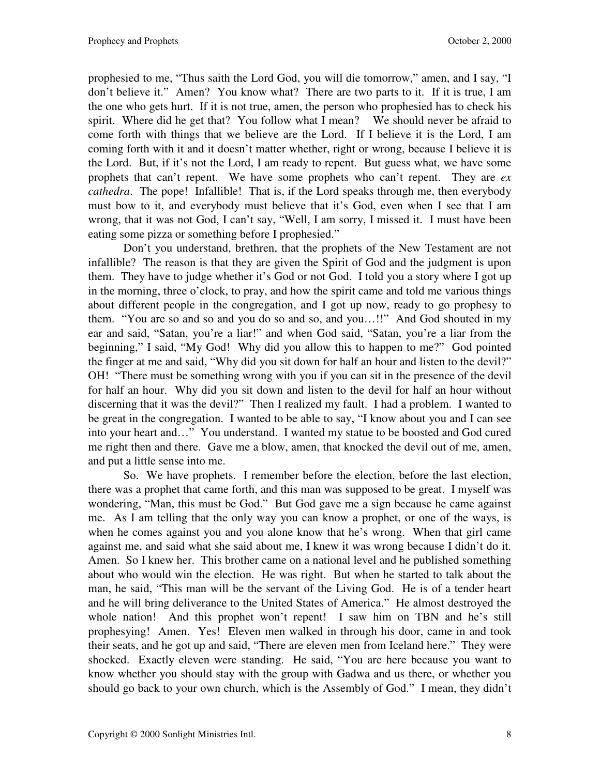prophesied to me, "Thus saith the Lord God, you will die tomorrow," amen, and I say, "I don't believe it." Amen? You know what? There are two parts to it. If it is true, I am the one who gets hurt. If it is not true, amen, the person who prophesied has to check his spirit. Where did he get that? You follow what I mean? We should never be afraid to come forth with things that we believe are the Lord. If I believe it is the Lord, I am coming forth with it and it doesn't matter whether, right or wrong, because I believe it is the Lord. But, if it's not the Lord, I am ready to repent. But guess what, we have some prophets that can't repent. We have some prophets who can't repent. They are *ex cathedra*. The pope! Infallible! That is, if the Lord speaks through me, then everybody must bow to it, and everybody must believe that it's God, even when I see that I am wrong, that it was not God, I can't say, "Well, I am sorry, I missed it. I must have been eating some pizza or something before I prophesied."

 Don't you understand, brethren, that the prophets of the New Testament are not infallible? The reason is that they are given the Spirit of God and the judgment is upon them. They have to judge whether it's God or not God. I told you a story where I got up in the morning, three o'clock, to pray, and how the spirit came and told me various things about different people in the congregation, and I got up now, ready to go prophesy to them. "You are so and so and you do so and so, and you…!!" And God shouted in my ear and said, "Satan, you're a liar!" and when God said, "Satan, you're a liar from the beginning," I said, "My God! Why did you allow this to happen to me?" God pointed the finger at me and said, "Why did you sit down for half an hour and listen to the devil?" OH! "There must be something wrong with you if you can sit in the presence of the devil for half an hour. Why did you sit down and listen to the devil for half an hour without discerning that it was the devil?" Then I realized my fault. I had a problem. I wanted to be great in the congregation. I wanted to be able to say, "I know about you and I can see into your heart and…" You understand. I wanted my statue to be boosted and God cured me right then and there. Gave me a blow, amen, that knocked the devil out of me, amen, and put a little sense into me.

 So. We have prophets. I remember before the election, before the last election, there was a prophet that came forth, and this man was supposed to be great. I myself was wondering, "Man, this must be God." But God gave me a sign because he came against me. As I am telling that the only way you can know a prophet, or one of the ways, is when he comes against you and you alone know that he's wrong. When that girl came against me, and said what she said about me, I knew it was wrong because I didn't do it. Amen. So I knew her. This brother came on a national level and he published something about who would win the election. He was right. But when he started to talk about the man, he said, "This man will be the servant of the Living God. He is of a tender heart and he will bring deliverance to the United States of America." He almost destroyed the whole nation! And this prophet won't repent! I saw him on TBN and he's still prophesying! Amen. Yes! Eleven men walked in through his door, came in and took their seats, and he got up and said, "There are eleven men from Iceland here." They were shocked. Exactly eleven were standing. He said, "You are here because you want to know whether you should stay with the group with Gadwa and us there, or whether you should go back to your own church, which is the Assembly of God." I mean, they didn't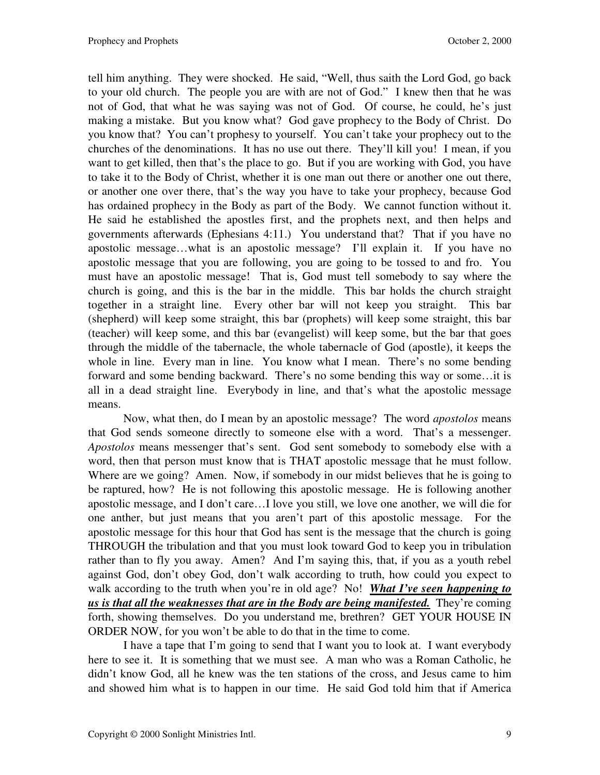tell him anything. They were shocked. He said, "Well, thus saith the Lord God, go back to your old church. The people you are with are not of God." I knew then that he was not of God, that what he was saying was not of God. Of course, he could, he's just making a mistake. But you know what? God gave prophecy to the Body of Christ. Do you know that? You can't prophesy to yourself. You can't take your prophecy out to the churches of the denominations. It has no use out there. They'll kill you! I mean, if you want to get killed, then that's the place to go. But if you are working with God, you have to take it to the Body of Christ, whether it is one man out there or another one out there, or another one over there, that's the way you have to take your prophecy, because God has ordained prophecy in the Body as part of the Body. We cannot function without it. He said he established the apostles first, and the prophets next, and then helps and governments afterwards (Ephesians 4:11.) You understand that? That if you have no apostolic message…what is an apostolic message? I'll explain it. If you have no apostolic message that you are following, you are going to be tossed to and fro. You must have an apostolic message! That is, God must tell somebody to say where the church is going, and this is the bar in the middle. This bar holds the church straight together in a straight line. Every other bar will not keep you straight. This bar (shepherd) will keep some straight, this bar (prophets) will keep some straight, this bar (teacher) will keep some, and this bar (evangelist) will keep some, but the bar that goes through the middle of the tabernacle, the whole tabernacle of God (apostle), it keeps the whole in line. Every man in line. You know what I mean. There's no some bending forward and some bending backward. There's no some bending this way or some…it is all in a dead straight line. Everybody in line, and that's what the apostolic message means.

 Now, what then, do I mean by an apostolic message? The word *apostolos* means that God sends someone directly to someone else with a word. That's a messenger. *Apostolos* means messenger that's sent. God sent somebody to somebody else with a word, then that person must know that is THAT apostolic message that he must follow. Where are we going? Amen. Now, if somebody in our midst believes that he is going to be raptured, how? He is not following this apostolic message. He is following another apostolic message, and I don't care…I love you still, we love one another, we will die for one anther, but just means that you aren't part of this apostolic message. For the apostolic message for this hour that God has sent is the message that the church is going THROUGH the tribulation and that you must look toward God to keep you in tribulation rather than to fly you away. Amen? And I'm saying this, that, if you as a youth rebel against God, don't obey God, don't walk according to truth, how could you expect to walk according to the truth when you're in old age? No! *What I've seen happening to us is that all the weaknesses that are in the Body are being manifested.* They're coming forth, showing themselves. Do you understand me, brethren? GET YOUR HOUSE IN ORDER NOW, for you won't be able to do that in the time to come.

 I have a tape that I'm going to send that I want you to look at. I want everybody here to see it. It is something that we must see. A man who was a Roman Catholic, he didn't know God, all he knew was the ten stations of the cross, and Jesus came to him and showed him what is to happen in our time. He said God told him that if America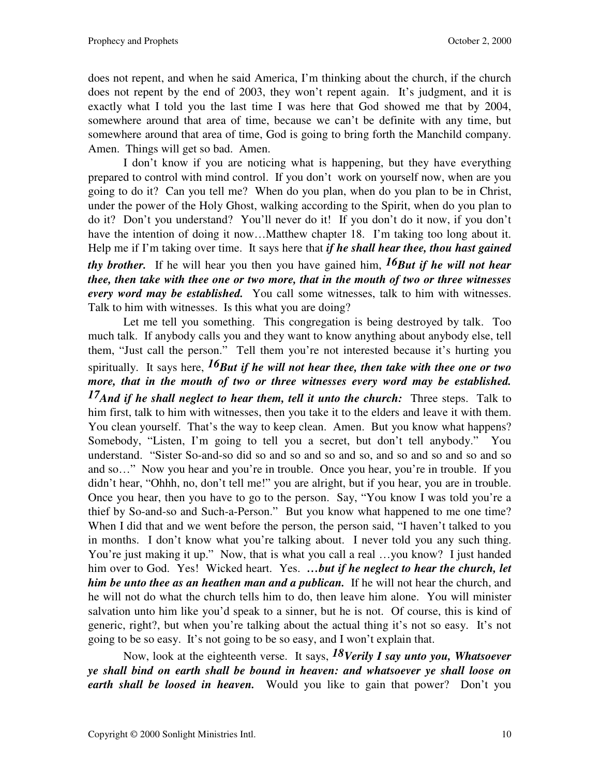does not repent, and when he said America, I'm thinking about the church, if the church does not repent by the end of 2003, they won't repent again. It's judgment, and it is exactly what I told you the last time I was here that God showed me that by 2004, somewhere around that area of time, because we can't be definite with any time, but somewhere around that area of time, God is going to bring forth the Manchild company. Amen. Things will get so bad. Amen.

 I don't know if you are noticing what is happening, but they have everything prepared to control with mind control. If you don't work on yourself now, when are you going to do it? Can you tell me? When do you plan, when do you plan to be in Christ, under the power of the Holy Ghost, walking according to the Spirit, when do you plan to do it? Don't you understand? You'll never do it! If you don't do it now, if you don't have the intention of doing it now…Matthew chapter 18. I'm taking too long about it. Help me if I'm taking over time. It says here that *if he shall hear thee, thou hast gained thy brother.* If he will hear you then you have gained him, *16But if he will not hear thee, then take with thee one or two more, that in the mouth of two or three witnesses* 

*every word may be established.* You call some witnesses, talk to him with witnesses. Talk to him with witnesses. Is this what you are doing?

 Let me tell you something. This congregation is being destroyed by talk. Too much talk. If anybody calls you and they want to know anything about anybody else, tell them, "Just call the person." Tell them you're not interested because it's hurting you spiritually. It says here, *16But if he will not hear thee, then take with thee one or two more, that in the mouth of two or three witnesses every word may be established. 17And if he shall neglect to hear them, tell it unto the church:* Three steps. Talk to him first, talk to him with witnesses, then you take it to the elders and leave it with them. You clean yourself. That's the way to keep clean. Amen. But you know what happens? Somebody, "Listen, I'm going to tell you a secret, but don't tell anybody." You understand. "Sister So-and-so did so and so and so and so, and so and so and so and so and so…" Now you hear and you're in trouble. Once you hear, you're in trouble. If you didn't hear, "Ohhh, no, don't tell me!" you are alright, but if you hear, you are in trouble. Once you hear, then you have to go to the person. Say, "You know I was told you're a thief by So-and-so and Such-a-Person." But you know what happened to me one time? When I did that and we went before the person, the person said, "I haven't talked to you in months. I don't know what you're talking about. I never told you any such thing. You're just making it up." Now, that is what you call a real ...you know? I just handed him over to God. Yes! Wicked heart. Yes. ...but if he neglect to hear the church, let *him be unto thee as an heathen man and a publican.* If he will not hear the church, and he will not do what the church tells him to do, then leave him alone. You will minister salvation unto him like you'd speak to a sinner, but he is not. Of course, this is kind of generic, right?, but when you're talking about the actual thing it's not so easy. It's not going to be so easy. It's not going to be so easy, and I won't explain that.

 Now, look at the eighteenth verse. It says, *18Verily I say unto you, Whatsoever ye shall bind on earth shall be bound in heaven: and whatsoever ye shall loose on earth shall be loosed in heaven.* Would you like to gain that power? Don't you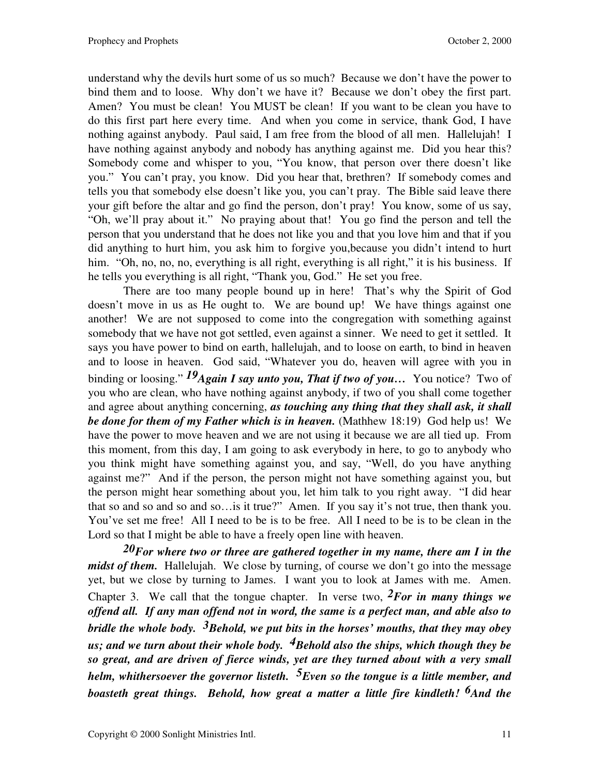understand why the devils hurt some of us so much? Because we don't have the power to bind them and to loose. Why don't we have it? Because we don't obey the first part. Amen? You must be clean! You MUST be clean! If you want to be clean you have to do this first part here every time. And when you come in service, thank God, I have nothing against anybody. Paul said, I am free from the blood of all men. Hallelujah! I have nothing against anybody and nobody has anything against me. Did you hear this? Somebody come and whisper to you, "You know, that person over there doesn't like you." You can't pray, you know. Did you hear that, brethren? If somebody comes and tells you that somebody else doesn't like you, you can't pray. The Bible said leave there your gift before the altar and go find the person, don't pray! You know, some of us say, "Oh, we'll pray about it." No praying about that! You go find the person and tell the person that you understand that he does not like you and that you love him and that if you did anything to hurt him, you ask him to forgive you,because you didn't intend to hurt him. "Oh, no, no, no, everything is all right, everything is all right," it is his business. If he tells you everything is all right, "Thank you, God." He set you free.

 There are too many people bound up in here! That's why the Spirit of God doesn't move in us as He ought to. We are bound up! We have things against one another! We are not supposed to come into the congregation with something against somebody that we have not got settled, even against a sinner. We need to get it settled. It says you have power to bind on earth, hallelujah, and to loose on earth, to bind in heaven and to loose in heaven. God said, "Whatever you do, heaven will agree with you in binding or loosing." *19Again I say unto you, That if two of you…* You notice? Two of you who are clean, who have nothing against anybody, if two of you shall come together and agree about anything concerning, *as touching any thing that they shall ask, it shall be done for them of my Father which is in heaven.* (Mathhew 18:19) God help us! We have the power to move heaven and we are not using it because we are all tied up. From this moment, from this day, I am going to ask everybody in here, to go to anybody who you think might have something against you, and say, "Well, do you have anything against me?" And if the person, the person might not have something against you, but the person might hear something about you, let him talk to you right away. "I did hear that so and so and so and so…is it true?" Amen. If you say it's not true, then thank you. You've set me free! All I need to be is to be free. All I need to be is to be clean in the Lord so that I might be able to have a freely open line with heaven.

 *20For where two or three are gathered together in my name, there am I in the midst of them.* Hallelujah. We close by turning, of course we don't go into the message yet, but we close by turning to James. I want you to look at James with me. Amen. Chapter 3. We call that the tongue chapter. In verse two,  $^2$ For in many things we *offend all. If any man offend not in word, the same is a perfect man, and able also to bridle the whole body. 3Behold, we put bits in the horses' mouths, that they may obey us; and we turn about their whole body. 4Behold also the ships, which though they be so great, and are driven of fierce winds, yet are they turned about with a very small helm, whithersoever the governor listeth. 5Even so the tongue is a little member, and boasteth great things. Behold, how great a matter a little fire kindleth! 6And the*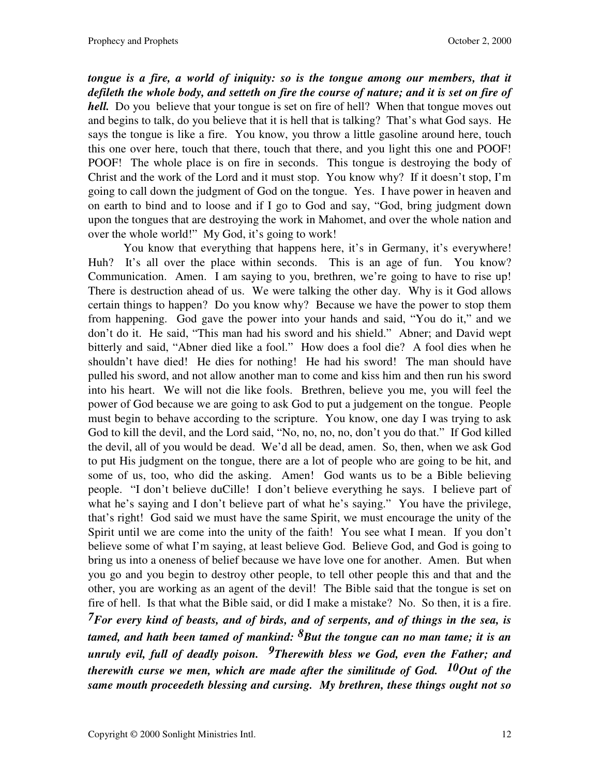*tongue is a fire, a world of iniquity: so is the tongue among our members, that it defileth the whole body, and setteth on fire the course of nature; and it is set on fire of hell.* Do you believe that your tongue is set on fire of hell? When that tongue moves out and begins to talk, do you believe that it is hell that is talking? That's what God says. He says the tongue is like a fire. You know, you throw a little gasoline around here, touch this one over here, touch that there, touch that there, and you light this one and POOF! POOF! The whole place is on fire in seconds. This tongue is destroying the body of Christ and the work of the Lord and it must stop. You know why? If it doesn't stop, I'm going to call down the judgment of God on the tongue. Yes. I have power in heaven and on earth to bind and to loose and if I go to God and say, "God, bring judgment down upon the tongues that are destroying the work in Mahomet, and over the whole nation and over the whole world!" My God, it's going to work!

 You know that everything that happens here, it's in Germany, it's everywhere! Huh? It's all over the place within seconds. This is an age of fun. You know? Communication. Amen. I am saying to you, brethren, we're going to have to rise up! There is destruction ahead of us. We were talking the other day. Why is it God allows certain things to happen? Do you know why? Because we have the power to stop them from happening. God gave the power into your hands and said, "You do it," and we don't do it. He said, "This man had his sword and his shield." Abner; and David wept bitterly and said, "Abner died like a fool." How does a fool die? A fool dies when he shouldn't have died! He dies for nothing! He had his sword! The man should have pulled his sword, and not allow another man to come and kiss him and then run his sword into his heart. We will not die like fools. Brethren, believe you me, you will feel the power of God because we are going to ask God to put a judgement on the tongue. People must begin to behave according to the scripture. You know, one day I was trying to ask God to kill the devil, and the Lord said, "No, no, no, no, don't you do that." If God killed the devil, all of you would be dead. We'd all be dead, amen. So, then, when we ask God to put His judgment on the tongue, there are a lot of people who are going to be hit, and some of us, too, who did the asking. Amen! God wants us to be a Bible believing people. "I don't believe duCille! I don't believe everything he says. I believe part of what he's saying and I don't believe part of what he's saying." You have the privilege, that's right! God said we must have the same Spirit, we must encourage the unity of the Spirit until we are come into the unity of the faith! You see what I mean. If you don't believe some of what I'm saying, at least believe God. Believe God, and God is going to bring us into a oneness of belief because we have love one for another. Amen. But when you go and you begin to destroy other people, to tell other people this and that and the other, you are working as an agent of the devil! The Bible said that the tongue is set on fire of hell. Is that what the Bible said, or did I make a mistake? No. So then, it is a fire. *7For every kind of beasts, and of birds, and of serpents, and of things in the sea, is tamed, and hath been tamed of mankind: 8But the tongue can no man tame; it is an unruly evil, full of deadly poison. 9Therewith bless we God, even the Father; and therewith curse we men, which are made after the similitude of God. 10Out of the same mouth proceedeth blessing and cursing. My brethren, these things ought not so*